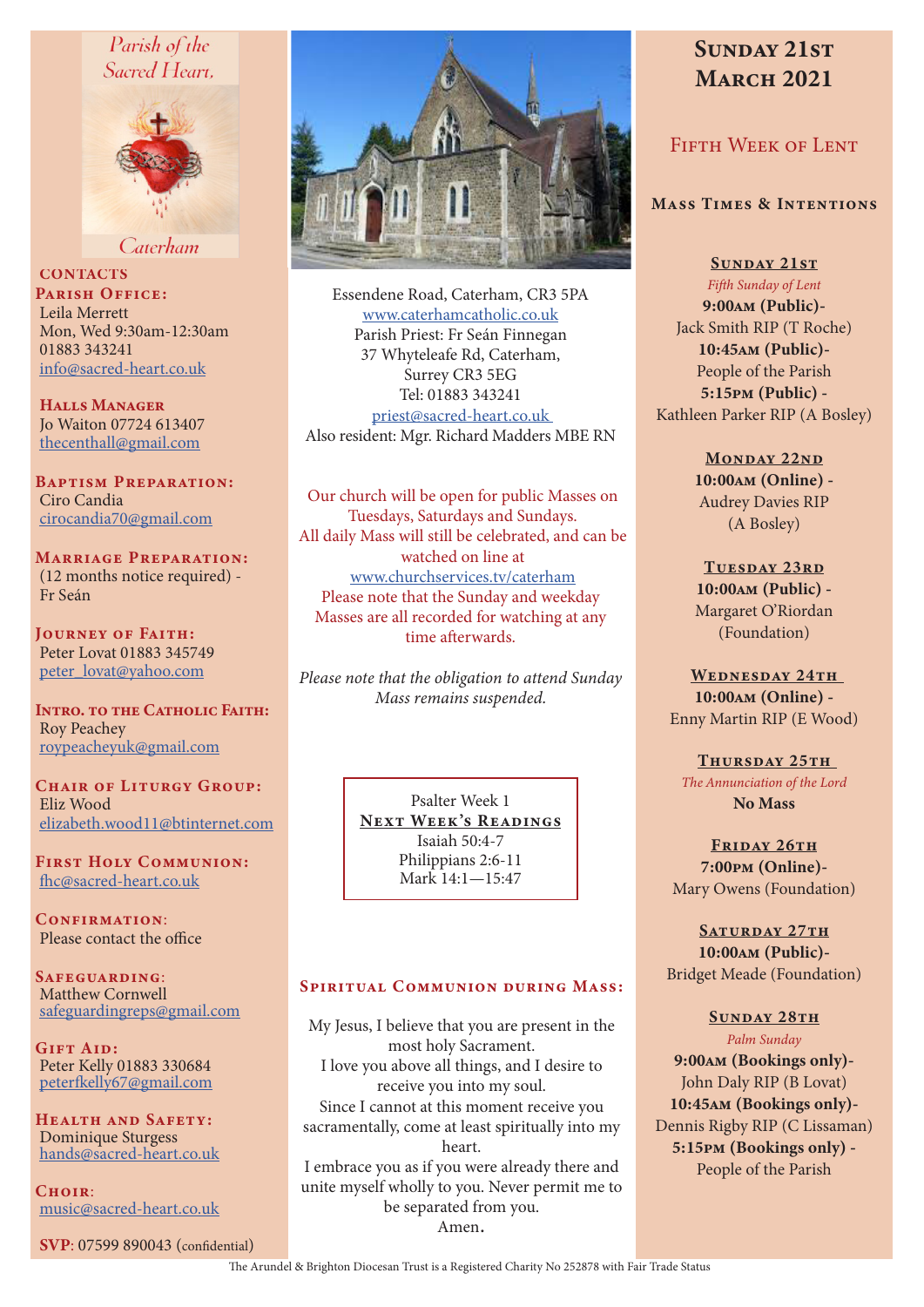# Parish of the Sacred Heart,



Caterham

**CONTACTS** PARISH OFFICE: Leila Merrett Mon, Wed 9:30am-12:30am 01883 343241 info@sacred-heart.co.uk

Halls Manager Jo Waiton 07724 613407 thecenthall@gmail.com

Baptism Preparation: Ciro Candia cirocandia70@gmail.com

Marriage Preparation: (12 months notice required) - Fr Seán

Journey of Faith: Peter Lovat 01883 345749 peter\_lovat@yahoo.com

INTRO. TO THE CATHOLIC FAITH: Roy Peachey roypeacheyuk@gmail.com

CHAIR OF LITURGY GROUP: Eliz Wood elizabeth.wood11@btinternet.com

First Holy Communion: fhc@sacred-heart.co.uk

CONFIRMATION: Please contact the office

Safeguarding: Matthew Cornwell safeguardingreps@gmail.com

Gift Aid: Peter Kelly 01883 330684 peterfkelly67@gmail.com

Health and Safety: Dominique Sturgess hands@sacred-heart.co.uk

 $C$ HOIR $\cdot$ music@sacred-heart.co.uk

SVP: 07599 890043 (confidential)



Essendene Road, Caterham, CR3 5PA www.caterhamcatholic.co.uk Parish Priest: Fr Seán Finnegan 37 Whyteleafe Rd, Caterham, Surrey CR3 5EG Tel: 01883 343241 priest@sacred-heart.co.uk Also resident: Mgr. Richard Madders MBE RN

Our church will be open for public Masses on Tuesdays, Saturdays and Sundays. All daily Mass will still be celebrated, and can be watched on line at www.churchservices.tv/caterham Please note that the Sunday and weekday Masses are all recorded for watching at any time afterwards.

*Please note that the obligation to attend Sunday Mass remains suspended.*

> Psalter Week 1 NEXT WEEK'S READINGS Isaiah 50:4-7 Philippians 2:6-11 Mark 14:1—15:47

#### Spiritual Communion during Mass:

My Jesus, I believe that you are present in the most holy Sacrament. I love you above all things, and I desire to receive you into my soul. Since I cannot at this moment receive you sacramentally, come at least spiritually into my heart. I embrace you as if you were already there and unite myself wholly to you. Never permit me to be separated from you. Amen.

# SUNDAY 21ST **MARCH 2021**

# FIFTH WEEK OF LENT

#### Mass Times & Intentions

SUNDAY 21ST

*Fifth Sunday of Lent* 9:00am (Public)- Jack Smith RIP (T Roche) 10:45am (Public)- People of the Parish 5:15pm (Public) - Kathleen Parker RIP (A Bosley)

> MONDAY 22ND 10:00am (Online) - Audrey Davies RIP (A Bosley)

> TUESDAY 23RD 10:00am (Public) - Margaret O'Riordan (Foundation)

WEDNESDAY 24TH 10:00am (Online) - Enny Martin RIP (E Wood)

THURSDAY 25TH *The Annunciation of the Lord* No Mass

FRIDAY 26TH 7:00pm (Online)- Mary Owens (Foundation)

SATURDAY 27TH 10:00am (Public)- Bridget Meade (Foundation)

#### SUNDAY 28TH *Palm Sunday*

9:00am (Bookings only)- John Daly RIP (B Lovat) 10:45am (Bookings only)- Dennis Rigby RIP (C Lissaman) 5:15pm (Bookings only) - People of the Parish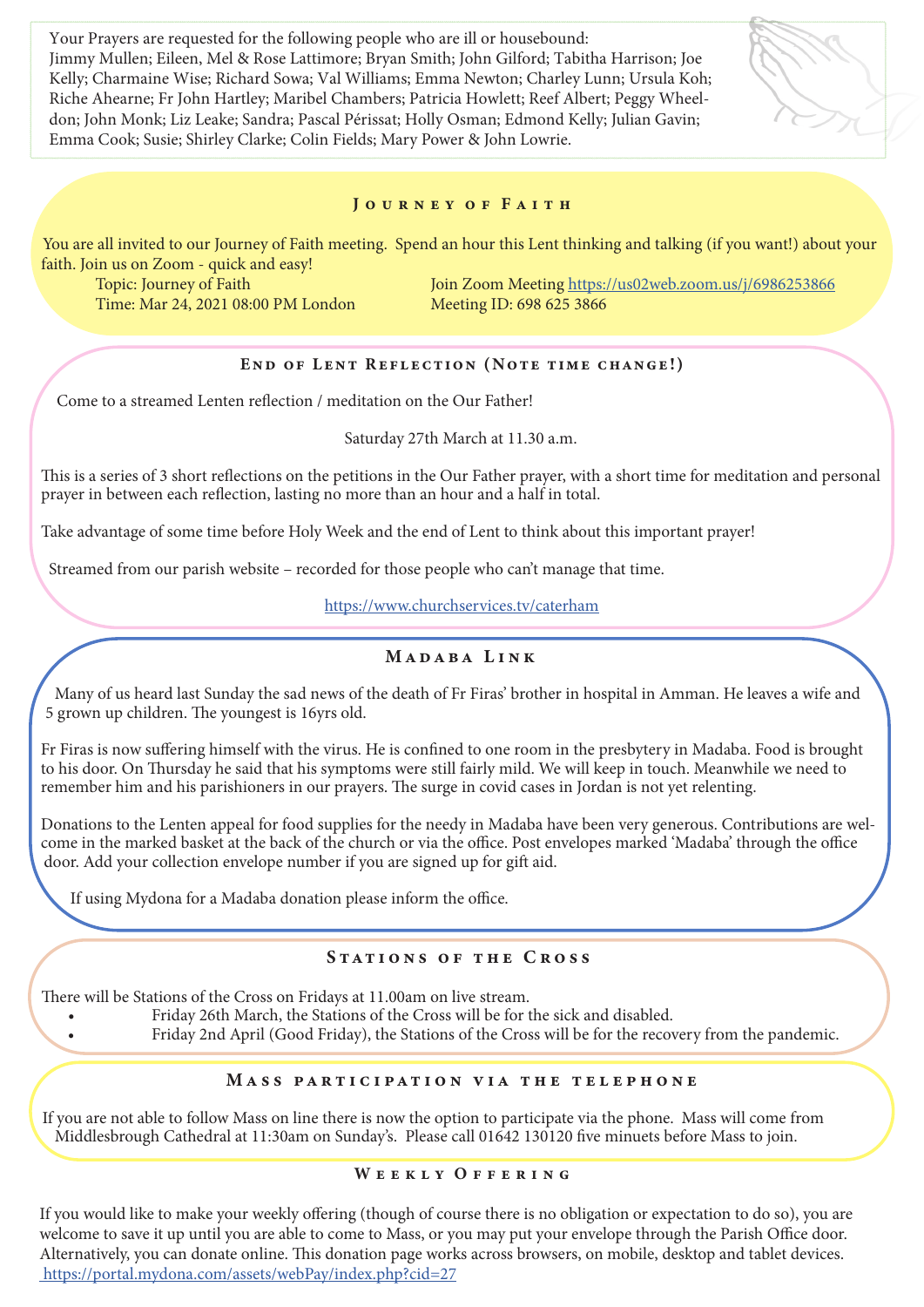Your Prayers are requested for the following people who are ill or housebound: Jimmy Mullen; Eileen, Mel & Rose Lattimore; Bryan Smith; John Gilford; Tabitha Harrison; Joe Kelly; Charmaine Wise; Richard Sowa; Val Williams; Emma Newton; Charley Lunn; Ursula Koh; Riche Ahearne; Fr John Hartley; Maribel Chambers; Patricia Howlett; Reef Albert; Peggy Wheeldon; John Monk; Liz Leake; Sandra; Pascal Périssat; Holly Osman; Edmond Kelly; Julian Gavin; Emma Cook; Susie; Shirley Clarke; Colin Fields; Mary Power & John Lowrie.

#### JOURNEY OF FAITH

You are all invited to our Journey of Faith meeting. Spend an hour this Lent thinking and talking (if you want!) about your faith. Join us on Zoom - quick and easy!

Time: Mar 24, 2021 08:00 PM London

Topic: Journey of Faith Join Zoom Meeting https://us02web.zoom.us/j/6986253866<br>Time: Mar 24, 2021 08:00 PM London Meeting ID: 698 625 3866

# End of Lent Reflection (Note time change!)

Come to a streamed Lenten reflection / meditation on the Our Father!

#### Saturday 27th March at 11.30 a.m.

This is a series of 3 short reflections on the petitions in the Our Father prayer, with a short time for meditation and personal prayer in between each reflection, lasting no more than an hour and a half in total.

Take advantage of some time before Holy Week and the end of Lent to think about this important prayer!

Streamed from our parish website – recorded for those people who can't manage that time.

https://www.churchservices.tv/caterham

# Madaba Link

Many of us heard last Sunday the sad news of the death of Fr Firas' brother in hospital in Amman. He leaves a wife and 5 grown up children. The youngest is 16yrs old.

Fr Firas is now suffering himself with the virus. He is confined to one room in the presbytery in Madaba. Food is brought to his door. On Thursday he said that his symptoms were still fairly mild. We will keep in touch. Meanwhile we need to remember him and his parishioners in our prayers. The surge in covid cases in Jordan is not yet relenting.

Donations to the Lenten appeal for food supplies for the needy in Madaba have been very generous. Contributions are welcome in the marked basket at the back of the church or via the office. Post envelopes marked 'Madaba' through the office door. Add your collection envelope number if you are signed up for gift aid.

If using Mydona for a Madaba donation please inform the office.

### STATIONS OF THE CROSS

There will be Stations of the Cross on Fridays at 11.00am on live stream.

• Friday 26th March, the Stations of the Cross will be for the sick and disabled.

• Friday 2nd April (Good Friday), the Stations of the Cross will be for the recovery from the pandemic.

# Mass participation via the telephone

If you are not able to follow Mass on line there is now the option to participate via the phone. Mass will come from Middlesbrough Cathedral at 11:30am on Sunday's. Please call 01642 130120 five minuets before Mass to join.

#### WEEKLY OFFERING

If you would like to make your weekly offering (though of course there is no obligation or expectation to do so), you are welcome to save it up until you are able to come to Mass, or you may put your envelope through the Parish Office door. Alternatively, you can donate online. This donation page works across browsers, on mobile, desktop and tablet devices. https://portal.mydona.com/assets/webPay/index.php?cid=27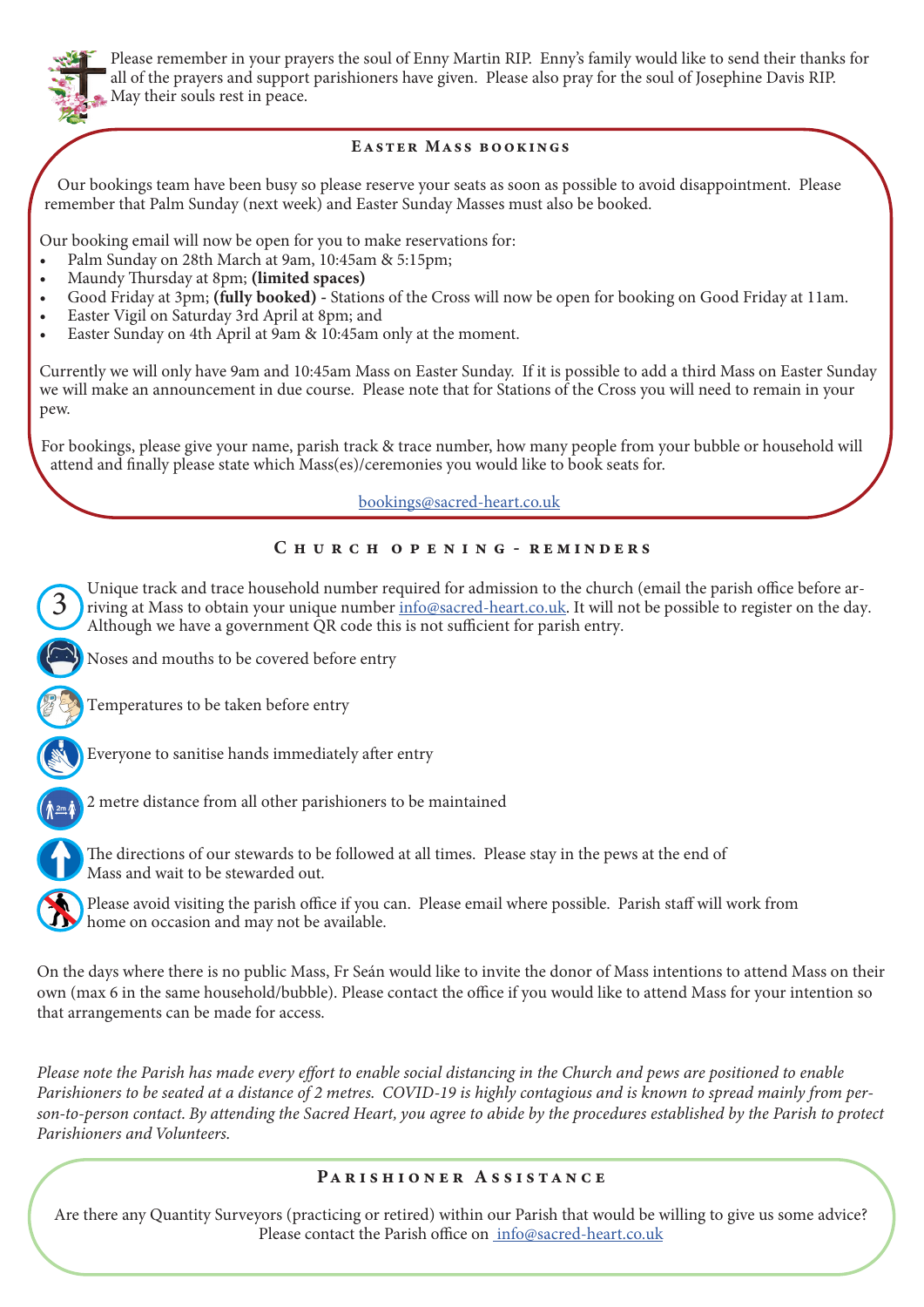

Please remember in your prayers the soul of Enny Martin RIP. Enny's family would like to send their thanks for all of the prayers and support parishioners have given. Please also pray for the soul of Josephine Davis RIP. May their souls rest in peace.

#### Easter Mass bookings

 Our bookings team have been busy so please reserve your seats as soon as possible to avoid disappointment. Please remember that Palm Sunday (next week) and Easter Sunday Masses must also be booked.

Our booking email will now be open for you to make reservations for:

- Palm Sunday on 28th March at 9am, 10:45am & 5:15pm;
- Maundy Thursday at 8pm; (limited spaces)
- Good Friday at 3pm; (fully booked) Stations of the Cross will now be open for booking on Good Friday at 11am.
- Easter Vigil on Saturday 3rd April at 8pm; and
- Easter Sunday on 4th April at 9am & 10:45am only at the moment.

Currently we will only have 9am and 10:45am Mass on Easter Sunday. If it is possible to add a third Mass on Easter Sunday we will make an announcement in due course. Please note that for Stations of the Cross you will need to remain in your pew.

For bookings, please give your name, parish track & trace number, how many people from your bubble or household will attend and finally please state which Mass(es)/ceremonies you would like to book seats for.

### bookings@sacred-heart.co.uk

#### C h u r c h o p e n i n g - reminders

Unique track and trace household number required for admission to the church (email the parish office before arriving at Mass to obtain your unique number info@sacred-heart.co.uk. It will not be possible to register on the day. Although we have a government QR code this is not sufficient for parish entry. 3



Temperatures to be taken before entry





2 metre distance from all other parishioners to be maintained



The directions of our stewards to be followed at all times. Please stay in the pews at the end of Mass and wait to be stewarded out.

Please avoid visiting the parish office if you can. Please email where possible. Parish staff will work from **h** home on occasion and may not be available.

On the days where there is no public Mass, Fr Seán would like to invite the donor of Mass intentions to attend Mass on their own (max 6 in the same household/bubble). Please contact the office if you would like to attend Mass for your intention so that arrangements can be made for access.

*Please note the Parish has made every effort to enable social distancing in the Church and pews are positioned to enable Parishioners to be seated at a distance of 2 metres. COVID-19 is highly contagious and is known to spread mainly from person-to-person contact. By attending the Sacred Heart, you agree to abide by the procedures established by the Parish to protect Parishioners and Volunteers.*

#### PARISHIONER ASSISTANCE

Are there any Quantity Surveyors (practicing or retired) within our Parish that would be willing to give us some advice? Please contact the Parish office on info@sacred-heart.co.uk